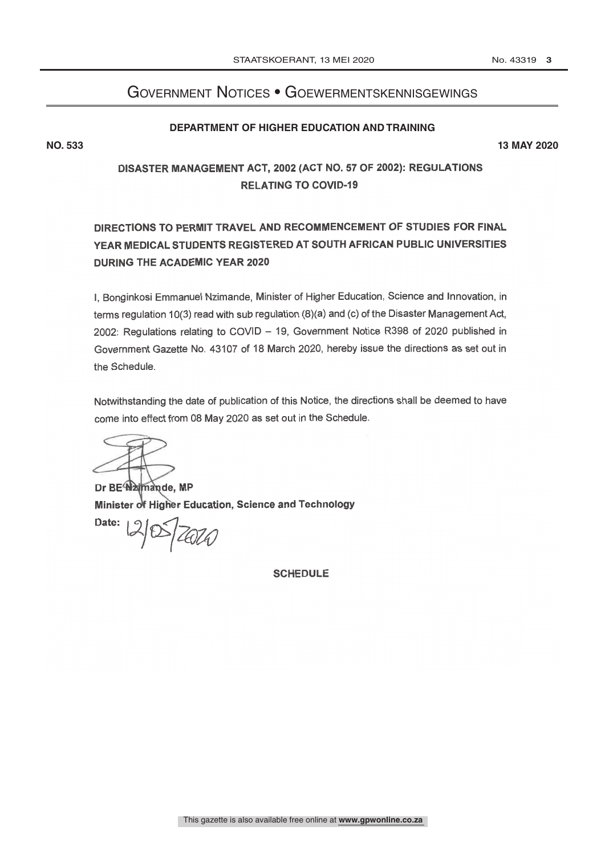## Government Notices • Goewermentskennisgewings

## **DEPARTMENT OF HIGHER EDUCATION AND TRAINING**

**NO. 533 13 MAY 2020**

## DISASTER MANAGEMENT ACT, 2002 (ACT NO. 57 OF 2002): REGULATIONS **RELATING TO COVID-19**

## DIRECTIONS TO PERMIT TRAVEL AND RECOMMENCEMENT OF STUDIES FOR FINAL YEAR MEDICAL STUDENTS REGISTERED AT SOUTH AFRICAN PUBLIC UNIVERSITIES DURING THE ACADEMIC YEAR 2020

I, Bonginkosi Emmanuel Nzimande, Minister of Higher Education, Science and Innovation, in terms regulation 10(3) read with sub regulation (8)(a) and (c) of the Disaster Management Act, 2002: Regulations relating to COVID - 19, Government Notice R398 of 2020 published in Government Gazette No. 43107 of 18 March 2020, hereby issue the directions as set out in the Schedule.

Notwithstanding the date of publication of this Notice, the directions shall be deemed to have come into effect from 08 May 2020 as set out in the Schedule.

Dr BE Najmande, MP Minister of Higher Education, Science and Technology

Date:  $14026$ 

**SCHEDULE**